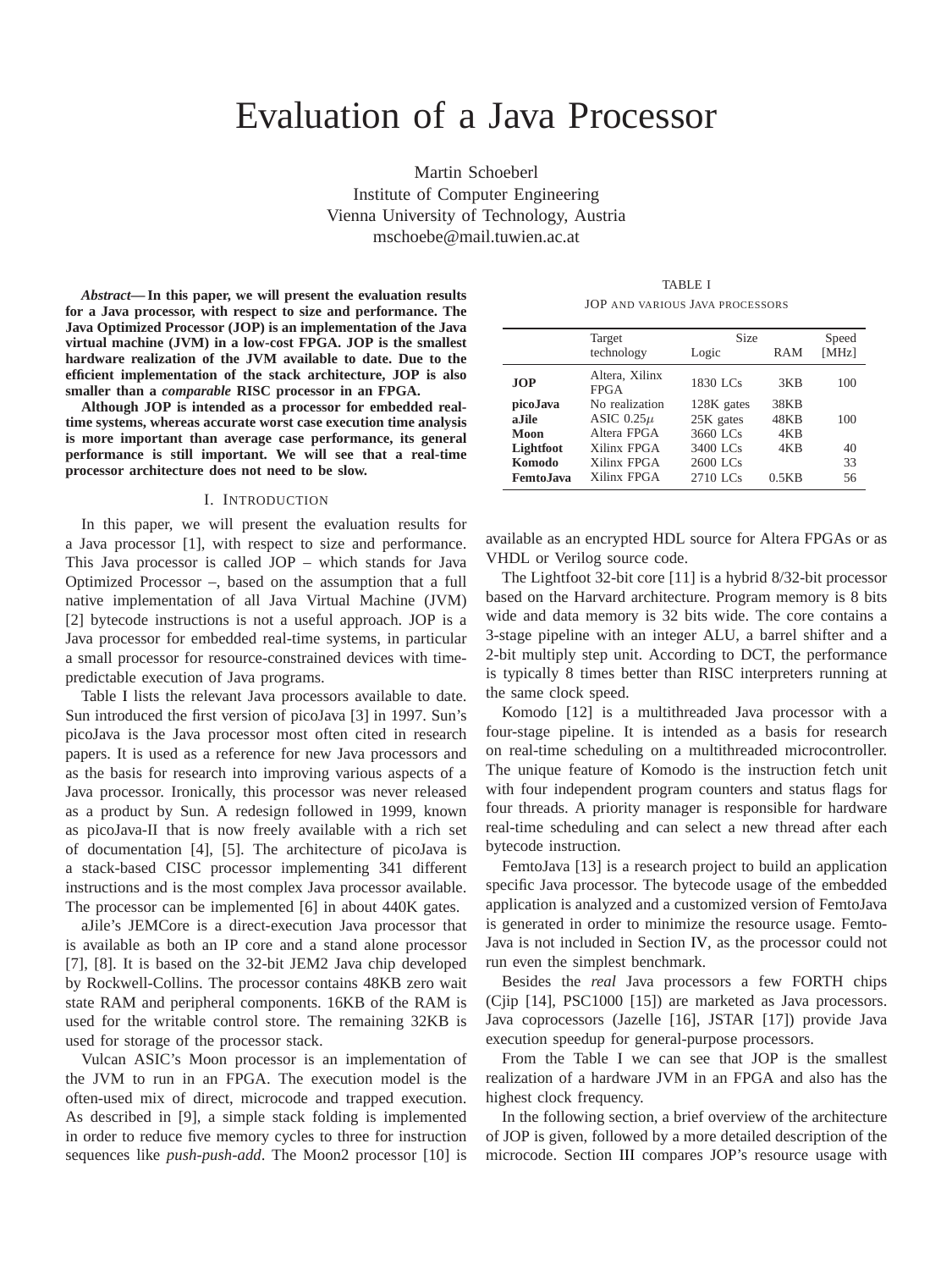# Evaluation of a Java Processor

Martin Schoeberl Institute of Computer Engineering Vienna University of Technology, Austria mschoebe@mail.tuwien.ac.at

*Abstract***— In this paper, we will present the evaluation results for a Java processor, with respect to size and performance. The Java Optimized Processor (JOP) is an implementation of the Java virtual machine (JVM) in a low-cost FPGA. JOP is the smallest hardware realization of the JVM available to date. Due to the efficient implementation of the stack architecture, JOP is also smaller than a** *comparable* **RISC processor in an FPGA.**

**Although JOP is intended as a processor for embedded realtime systems, whereas accurate worst case execution time analysis is more important than average case performance, its general performance is still important. We will see that a real-time processor architecture does not need to be slow.**

#### I. INTRODUCTION

In this paper, we will present the evaluation results for a Java processor [1], with respect to size and performance. This Java processor is called JOP – which stands for Java Optimized Processor –, based on the assumption that a full native implementation of all Java Virtual Machine (JVM) [2] bytecode instructions is not a useful approach. JOP is a Java processor for embedded real-time systems, in particular a small processor for resource-constrained devices with timepredictable execution of Java programs.

Table [I](#page-0-0) lists the relevant Java processors available to date. Sun introduced the first version of picoJava [3] in 1997. Sun's picoJava is the Java processor most often cited in research papers. It is used as a reference for new Java processors and as the basis for research into improving various aspects of a Java processor. Ironically, this processor was never released as a product by Sun. A redesign followed in 1999, known as picoJava-II that is now freely available with a rich set of documentation [4], [5]. The architecture of picoJava is a stack-based CISC processor implementing 341 different instructions and is the most complex Java processor available. The processor can be implemented [6] in about 440K gates.

aJile's JEMCore is a direct-execution Java processor that is available as both an IP core and a stand alone processor [7], [8]. It is based on the 32-bit JEM2 Java chip developed by Rockwell-Collins. The processor contains 48KB zero wait state RAM and peripheral components. 16KB of the RAM is used for the writable control store. The remaining 32KB is used for storage of the processor stack.

Vulcan ASIC's Moon processor is an implementation of the JVM to run in an FPGA. The execution model is the often-used mix of direct, microcode and trapped execution. As described in [9], a simple stack folding is implemented in order to reduce five memory cycles to three for instruction sequences like *push-push-add*. The Moon2 processor [10] is

TABLE I JOP AND VARIOUS JAVA PROCESSORS

<span id="page-0-0"></span>

|                                           | Target                                          | <b>Size</b>                         |                            | Speed          |
|-------------------------------------------|-------------------------------------------------|-------------------------------------|----------------------------|----------------|
|                                           | technology                                      | Logic                               | RAM                        | [MHz]          |
| <b>JOP</b>                                | Altera, Xilinx<br><b>FPGA</b>                   | 1830 LCs                            | 3KB                        | 100            |
| picoJava<br>a.Iile<br>Moon                | No realization<br>ASIC $0.25\mu$<br>Altera FPGA | 128K gates<br>25K gates<br>3660 LCs | <b>38KB</b><br>48KB<br>4KB | 100            |
| Lightfoot<br><b>Komodo</b><br>Femto. Java | Xilinx FPGA<br>Xilinx FPGA<br>Xilinx FPGA       | 3400 LCs<br>2600 LCs<br>2710 LCs    | 4KB<br>0.5KB               | 40<br>33<br>56 |

available as an encrypted HDL source for Altera FPGAs or as VHDL or Verilog source code.

The Lightfoot 32-bit core [11] is a hybrid 8/32-bit processor based on the Harvard architecture. Program memory is 8 bits wide and data memory is 32 bits wide. The core contains a 3-stage pipeline with an integer ALU, a barrel shifter and a 2-bit multiply step unit. According to DCT, the performance is typically 8 times better than RISC interpreters running at the same clock speed.

Komodo [12] is a multithreaded Java processor with a four-stage pipeline. It is intended as a basis for research on real-time scheduling on a multithreaded microcontroller. The unique feature of Komodo is the instruction fetch unit with four independent program counters and status flags for four threads. A priority manager is responsible for hardware real-time scheduling and can select a new thread after each bytecode instruction.

FemtoJava [13] is a research project to build an application specific Java processor. The bytecode usage of the embedded application is analyzed and a customized version of FemtoJava is generated in order to minimize the resource usage. Femto-Java is not included in Section [IV,](#page-4-0) as the processor could not run even the simplest benchmark.

Besides the *real* Java processors a few FORTH chips (Cjip [14], PSC1000 [15]) are marketed as Java processors. Java coprocessors (Jazelle [16], JSTAR [17]) provide Java execution speedup for general-purpose processors.

From the Table [I](#page-0-0) we can see that JOP is the smallest realization of a hardware JVM in an FPGA and also has the highest clock frequency.

In the following section, a brief overview of the architecture of JOP is given, followed by a more detailed description of the microcode. Section [III](#page-3-0) compares JOP's resource usage with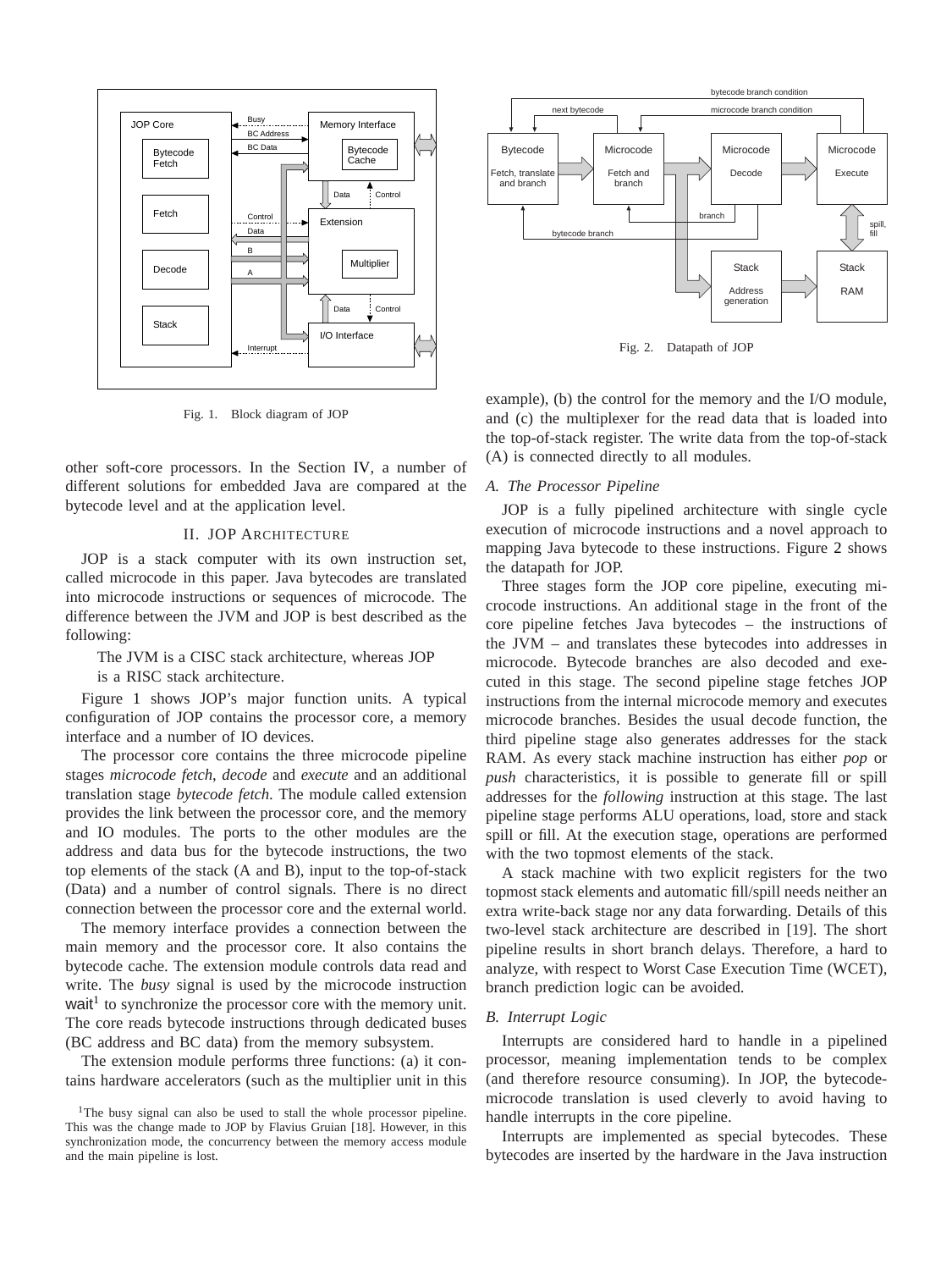

<span id="page-1-0"></span>Fig. 1. Block diagram of JOP

other soft-core processors. In the Section [IV,](#page-4-0) a number of different solutions for embedded Java are compared at the bytecode level and at the application level.

## II. JOP ARCHITECTURE

JOP is a stack computer with its own instruction set, called microcode in this paper. Java bytecodes are translated into microcode instructions or sequences of microcode. The difference between the JVM and JOP is best described as the following:

The JVM is a CISC stack architecture, whereas JOP is a RISC stack architecture.

Figure [1](#page-1-0) shows JOP's major function units. A typical configuration of JOP contains the processor core, a memory interface and a number of IO devices.

The processor core contains the three microcode pipeline stages *microcode fetch*, *decode* and *execute* and an additional translation stage *bytecode fetch*. The module called extension provides the link between the processor core, and the memory and IO modules. The ports to the other modules are the address and data bus for the bytecode instructions, the two top elements of the stack (A and B), input to the top-of-stack (Data) and a number of control signals. There is no direct connection between the processor core and the external world.

The memory interface provides a connection between the main memory and the processor core. It also contains the bytecode cache. The extension module controls data read and write. The *busy* signal is used by the microcode instruction wait<sup>[1](#page-1-1)</sup> to synchronize the processor core with the memory unit. The core reads bytecode instructions through dedicated buses (BC address and BC data) from the memory subsystem.

The extension module performs three functions: (a) it contains hardware accelerators (such as the multiplier unit in this



<span id="page-1-2"></span>Fig. 2. Datapath of JOP

example), (b) the control for the memory and the I/O module, and (c) the multiplexer for the read data that is loaded into the top-of-stack register. The write data from the top-of-stack (A) is connected directly to all modules.

## *A. The Processor Pipeline*

JOP is a fully pipelined architecture with single cycle execution of microcode instructions and a novel approach to mapping Java bytecode to these instructions. Figure [2](#page-1-2) shows the datapath for JOP.

Three stages form the JOP core pipeline, executing microcode instructions. An additional stage in the front of the core pipeline fetches Java bytecodes – the instructions of the JVM – and translates these bytecodes into addresses in microcode. Bytecode branches are also decoded and executed in this stage. The second pipeline stage fetches JOP instructions from the internal microcode memory and executes microcode branches. Besides the usual decode function, the third pipeline stage also generates addresses for the stack RAM. As every stack machine instruction has either *pop* or *push* characteristics, it is possible to generate fill or spill addresses for the *following* instruction at this stage. The last pipeline stage performs ALU operations, load, store and stack spill or fill. At the execution stage, operations are performed with the two topmost elements of the stack.

A stack machine with two explicit registers for the two topmost stack elements and automatic fill/spill needs neither an extra write-back stage nor any data forwarding. Details of this two-level stack architecture are described in [19]. The short pipeline results in short branch delays. Therefore, a hard to analyze, with respect to Worst Case Execution Time (WCET), branch prediction logic can be avoided.

# *B. Interrupt Logic*

Interrupts are considered hard to handle in a pipelined processor, meaning implementation tends to be complex (and therefore resource consuming). In JOP, the bytecodemicrocode translation is used cleverly to avoid having to handle interrupts in the core pipeline.

Interrupts are implemented as special bytecodes. These bytecodes are inserted by the hardware in the Java instruction

<span id="page-1-1"></span><sup>&</sup>lt;sup>1</sup>The busy signal can also be used to stall the whole processor pipeline. This was the change made to JOP by Flavius Gruian [18]. However, in this synchronization mode, the concurrency between the memory access module and the main pipeline is lost.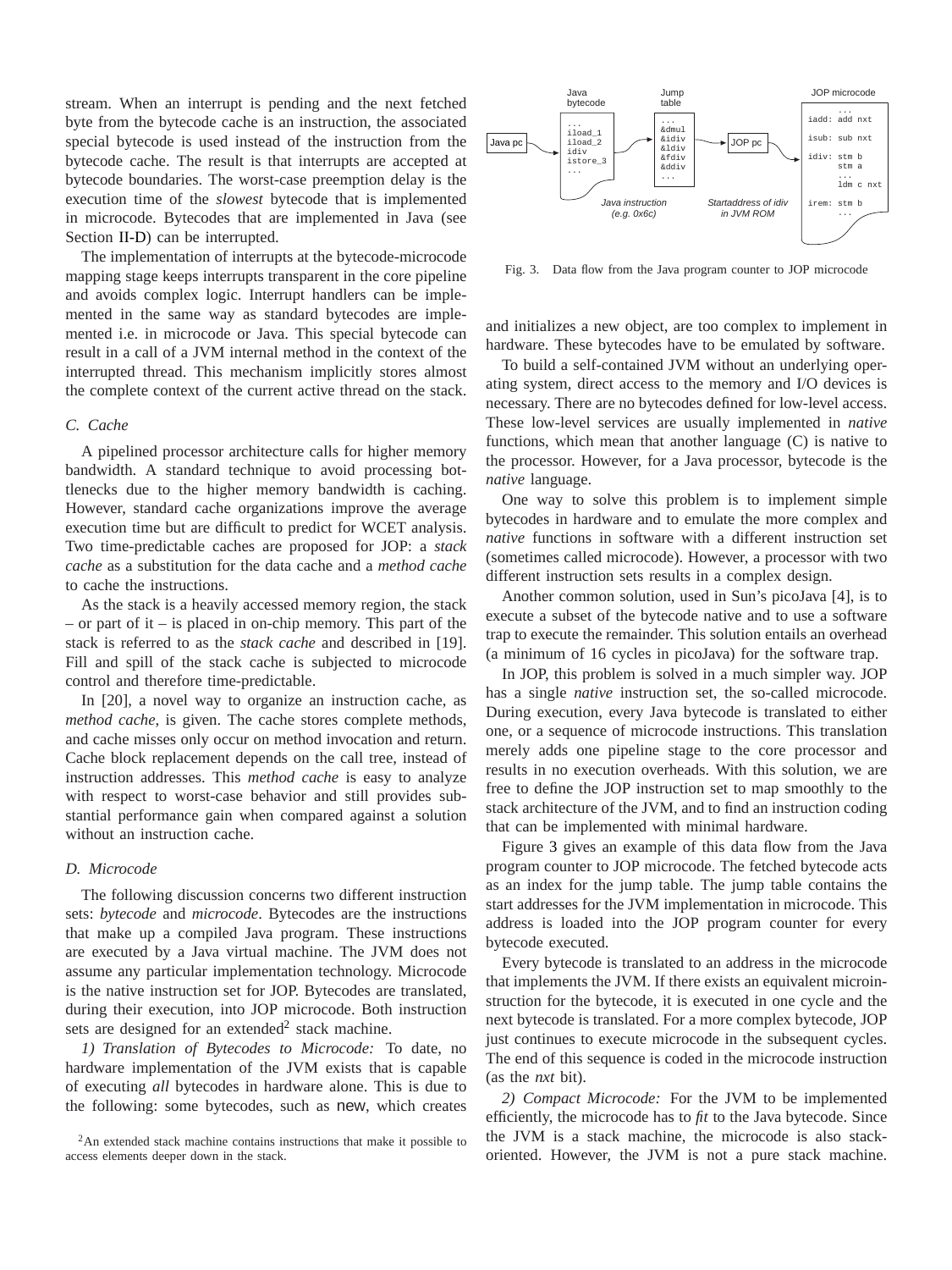stream. When an interrupt is pending and the next fetched byte from the bytecode cache is an instruction, the associated special bytecode is used instead of the instruction from the bytecode cache. The result is that interrupts are accepted at bytecode boundaries. The worst-case preemption delay is the execution time of the *slowest* bytecode that is implemented in microcode. Bytecodes that are implemented in Java (see Section [II-D\)](#page-2-0) can be interrupted.

The implementation of interrupts at the bytecode-microcode mapping stage keeps interrupts transparent in the core pipeline and avoids complex logic. Interrupt handlers can be implemented in the same way as standard bytecodes are implemented i.e. in microcode or Java. This special bytecode can result in a call of a JVM internal method in the context of the interrupted thread. This mechanism implicitly stores almost the complete context of the current active thread on the stack.

# *C. Cache*

A pipelined processor architecture calls for higher memory bandwidth. A standard technique to avoid processing bottlenecks due to the higher memory bandwidth is caching. However, standard cache organizations improve the average execution time but are difficult to predict for WCET analysis. Two time-predictable caches are proposed for JOP: a *stack cache* as a substitution for the data cache and a *method cache* to cache the instructions.

As the stack is a heavily accessed memory region, the stack – or part of it – is placed in on-chip memory. This part of the stack is referred to as the *stack cache* and described in [19]. Fill and spill of the stack cache is subjected to microcode control and therefore time-predictable.

In [20], a novel way to organize an instruction cache, as *method cache*, is given. The cache stores complete methods, and cache misses only occur on method invocation and return. Cache block replacement depends on the call tree, instead of instruction addresses. This *method cache* is easy to analyze with respect to worst-case behavior and still provides substantial performance gain when compared against a solution without an instruction cache.

# <span id="page-2-0"></span>*D. Microcode*

The following discussion concerns two different instruction sets: *bytecode* and *microcode*. Bytecodes are the instructions that make up a compiled Java program. These instructions are executed by a Java virtual machine. The JVM does not assume any particular implementation technology. Microcode is the native instruction set for JOP. Bytecodes are translated, during their execution, into JOP microcode. Both instruction sets are designed for an extended<sup>[2](#page-2-1)</sup> stack machine.

*1) Translation of Bytecodes to Microcode:* To date, no hardware implementation of the JVM exists that is capable of executing *all* bytecodes in hardware alone. This is due to the following: some bytecodes, such as new, which creates



<span id="page-2-2"></span>Fig. 3. Data flow from the Java program counter to JOP microcode

and initializes a new object, are too complex to implement in hardware. These bytecodes have to be emulated by software.

To build a self-contained JVM without an underlying operating system, direct access to the memory and I/O devices is necessary. There are no bytecodes defined for low-level access. These low-level services are usually implemented in *native* functions, which mean that another language (C) is native to the processor. However, for a Java processor, bytecode is the *native* language.

One way to solve this problem is to implement simple bytecodes in hardware and to emulate the more complex and *native* functions in software with a different instruction set (sometimes called microcode). However, a processor with two different instruction sets results in a complex design.

Another common solution, used in Sun's picoJava [4], is to execute a subset of the bytecode native and to use a software trap to execute the remainder. This solution entails an overhead (a minimum of 16 cycles in picoJava) for the software trap.

In JOP, this problem is solved in a much simpler way. JOP has a single *native* instruction set, the so-called microcode. During execution, every Java bytecode is translated to either one, or a sequence of microcode instructions. This translation merely adds one pipeline stage to the core processor and results in no execution overheads. With this solution, we are free to define the JOP instruction set to map smoothly to the stack architecture of the JVM, and to find an instruction coding that can be implemented with minimal hardware.

Figure [3](#page-2-2) gives an example of this data flow from the Java program counter to JOP microcode. The fetched bytecode acts as an index for the jump table. The jump table contains the start addresses for the JVM implementation in microcode. This address is loaded into the JOP program counter for every bytecode executed.

Every bytecode is translated to an address in the microcode that implements the JVM. If there exists an equivalent microinstruction for the bytecode, it is executed in one cycle and the next bytecode is translated. For a more complex bytecode, JOP just continues to execute microcode in the subsequent cycles. The end of this sequence is coded in the microcode instruction (as the *nxt* bit).

*2) Compact Microcode:* For the JVM to be implemented efficiently, the microcode has to *fit* to the Java bytecode. Since the JVM is a stack machine, the microcode is also stackoriented. However, the JVM is not a pure stack machine.

<span id="page-2-1"></span><sup>&</sup>lt;sup>2</sup>An extended stack machine contains instructions that make it possible to access elements deeper down in the stack.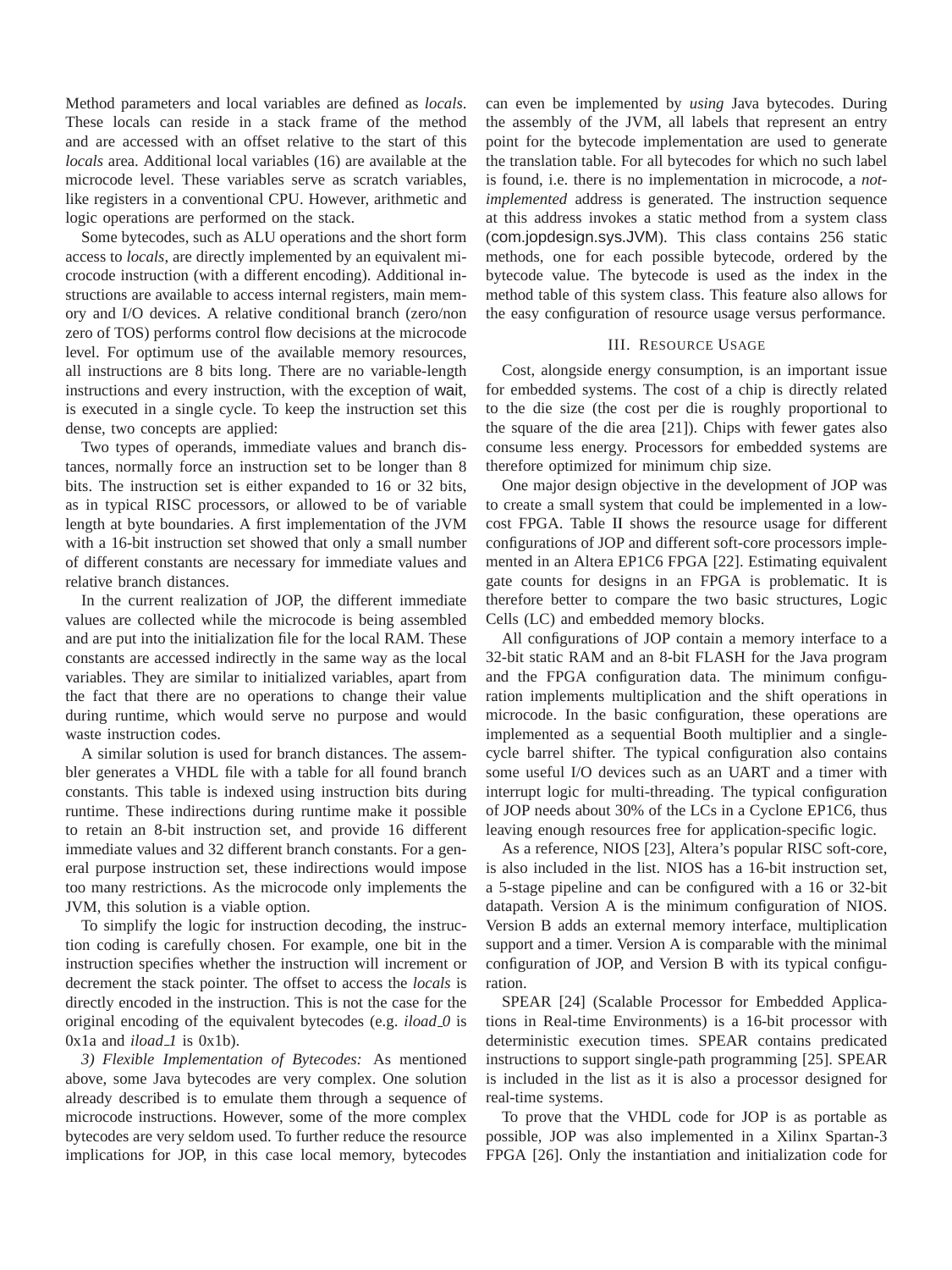Method parameters and local variables are defined as *locals*. These locals can reside in a stack frame of the method and are accessed with an offset relative to the start of this *locals* area. Additional local variables (16) are available at the microcode level. These variables serve as scratch variables, like registers in a conventional CPU. However, arithmetic and logic operations are performed on the stack.

Some bytecodes, such as ALU operations and the short form access to *locals*, are directly implemented by an equivalent microcode instruction (with a different encoding). Additional instructions are available to access internal registers, main memory and I/O devices. A relative conditional branch (zero/non zero of TOS) performs control flow decisions at the microcode level. For optimum use of the available memory resources, all instructions are 8 bits long. There are no variable-length instructions and every instruction, with the exception of wait, is executed in a single cycle. To keep the instruction set this dense, two concepts are applied:

Two types of operands, immediate values and branch distances, normally force an instruction set to be longer than 8 bits. The instruction set is either expanded to 16 or 32 bits, as in typical RISC processors, or allowed to be of variable length at byte boundaries. A first implementation of the JVM with a 16-bit instruction set showed that only a small number of different constants are necessary for immediate values and relative branch distances.

In the current realization of JOP, the different immediate values are collected while the microcode is being assembled and are put into the initialization file for the local RAM. These constants are accessed indirectly in the same way as the local variables. They are similar to initialized variables, apart from the fact that there are no operations to change their value during runtime, which would serve no purpose and would waste instruction codes.

A similar solution is used for branch distances. The assembler generates a VHDL file with a table for all found branch constants. This table is indexed using instruction bits during runtime. These indirections during runtime make it possible to retain an 8-bit instruction set, and provide 16 different immediate values and 32 different branch constants. For a general purpose instruction set, these indirections would impose too many restrictions. As the microcode only implements the JVM, this solution is a viable option.

To simplify the logic for instruction decoding, the instruction coding is carefully chosen. For example, one bit in the instruction specifies whether the instruction will increment or decrement the stack pointer. The offset to access the *locals* is directly encoded in the instruction. This is not the case for the original encoding of the equivalent bytecodes (e.g. *iload 0* is  $0x1a$  and  $iload\_1$  is  $0x1b$ ).

*3) Flexible Implementation of Bytecodes:* As mentioned above, some Java bytecodes are very complex. One solution already described is to emulate them through a sequence of microcode instructions. However, some of the more complex bytecodes are very seldom used. To further reduce the resource implications for JOP, in this case local memory, bytecodes

can even be implemented by *using* Java bytecodes. During the assembly of the JVM, all labels that represent an entry point for the bytecode implementation are used to generate the translation table. For all bytecodes for which no such label is found, i.e. there is no implementation in microcode, a *notimplemented* address is generated. The instruction sequence at this address invokes a static method from a system class (com.jopdesign.sys.JVM). This class contains 256 static methods, one for each possible bytecode, ordered by the bytecode value. The bytecode is used as the index in the method table of this system class. This feature also allows for the easy configuration of resource usage versus performance.

## III. RESOURCE USAGE

<span id="page-3-0"></span>Cost, alongside energy consumption, is an important issue for embedded systems. The cost of a chip is directly related to the die size (the cost per die is roughly proportional to the square of the die area [21]). Chips with fewer gates also consume less energy. Processors for embedded systems are therefore optimized for minimum chip size.

One major design objective in the development of JOP was to create a small system that could be implemented in a lowcost FPGA. Table [II](#page-4-1) shows the resource usage for different configurations of JOP and different soft-core processors implemented in an Altera EP1C6 FPGA [22]. Estimating equivalent gate counts for designs in an FPGA is problematic. It is therefore better to compare the two basic structures, Logic Cells (LC) and embedded memory blocks.

All configurations of JOP contain a memory interface to a 32-bit static RAM and an 8-bit FLASH for the Java program and the FPGA configuration data. The minimum configuration implements multiplication and the shift operations in microcode. In the basic configuration, these operations are implemented as a sequential Booth multiplier and a singlecycle barrel shifter. The typical configuration also contains some useful I/O devices such as an UART and a timer with interrupt logic for multi-threading. The typical configuration of JOP needs about 30% of the LCs in a Cyclone EP1C6, thus leaving enough resources free for application-specific logic.

As a reference, NIOS [23], Altera's popular RISC soft-core, is also included in the list. NIOS has a 16-bit instruction set, a 5-stage pipeline and can be configured with a 16 or 32-bit datapath. Version A is the minimum configuration of NIOS. Version B adds an external memory interface, multiplication support and a timer. Version A is comparable with the minimal configuration of JOP, and Version B with its typical configuration.

SPEAR [24] (Scalable Processor for Embedded Applications in Real-time Environments) is a 16-bit processor with deterministic execution times. SPEAR contains predicated instructions to support single-path programming [25]. SPEAR is included in the list as it is also a processor designed for real-time systems.

To prove that the VHDL code for JOP is as portable as possible, JOP was also implemented in a Xilinx Spartan-3 FPGA [26]. Only the instantiation and initialization code for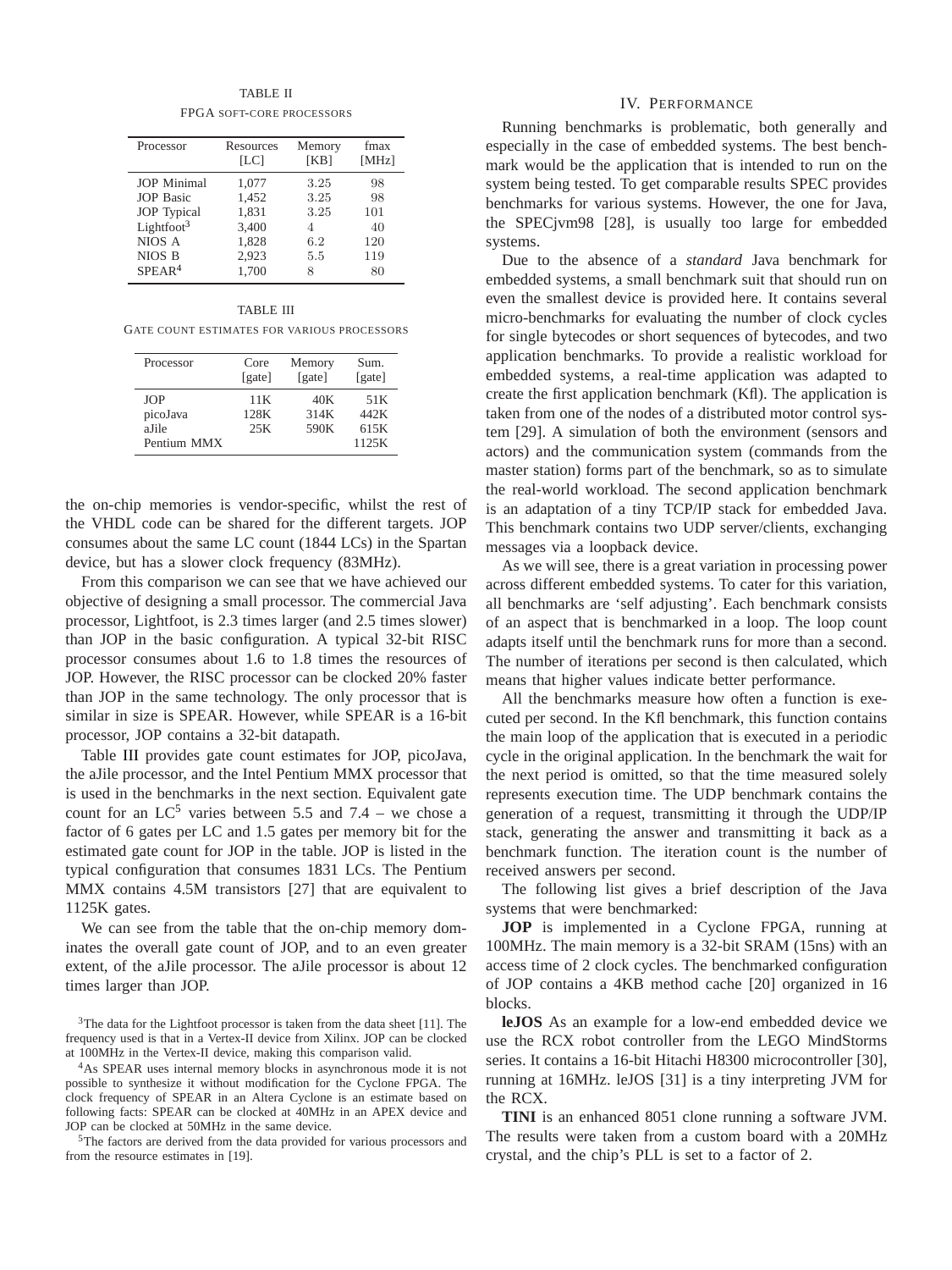TABLE II FPGA SOFT-CORE PROCESSORS

<span id="page-4-1"></span>

| Processor              | Resources<br>[LC] | Memory<br>[KB] | fmax<br>[MHz] |
|------------------------|-------------------|----------------|---------------|
| <b>JOP</b> Minimal     | 1,077             | 3.25           | 98            |
| <b>JOP</b> Basic       | 1,452             | 3.25           | 98            |
| <b>JOP</b> Typical     | 1.831             | 3.25           | 101           |
| Lightfoot <sup>3</sup> | 3.400             | 4              | 40            |
| NIOS A                 | 1,828             | 6.2            | 120           |
| NIOS B                 | 2,923             | 5.5            | 119           |
| SPEAR <sup>4</sup>     | 1,700             | 8              | 80            |

#### TABLE III

<span id="page-4-3"></span>GATE COUNT ESTIMATES FOR VARIOUS PROCESSORS

| Processor   | Core<br>[gate] | Memory<br>[gate] | Sum.<br>[gate] |
|-------------|----------------|------------------|----------------|
| <b>JOP</b>  | 11 K           | 40K              | 51K            |
| picoJava    | 128K           | 314K             | 442K           |
| aJile       | 25K            | 590K             | 615K           |
| Pentium MMX |                |                  | 1125K          |

the on-chip memories is vendor-specific, whilst the rest of the VHDL code can be shared for the different targets. JOP consumes about the same LC count (1844 LCs) in the Spartan device, but has a slower clock frequency (83MHz).

From this comparison we can see that we have achieved our objective of designing a small processor. The commercial Java processor, Lightfoot, is 2.3 times larger (and 2.5 times slower) than JOP in the basic configuration. A typical 32-bit RISC processor consumes about 1.6 to 1.8 times the resources of JOP. However, the RISC processor can be clocked 20% faster than JOP in the same technology. The only processor that is similar in size is SPEAR. However, while SPEAR is a 16-bit processor, JOP contains a 32-bit datapath.

Table [III](#page-4-3) provides gate count estimates for JOP, picoJava, the aJile processor, and the Intel Pentium MMX processor that is used in the benchmarks in the next section. Equivalent gate count for an  $LC^5$  $LC^5$  varies between 5.5 and 7.4 – we chose a factor of 6 gates per LC and 1.5 gates per memory bit for the estimated gate count for JOP in the table. JOP is listed in the typical configuration that consumes 1831 LCs. The Pentium MMX contains 4.5M transistors [27] that are equivalent to 1125K gates.

We can see from the table that the on-chip memory dominates the overall gate count of JOP, and to an even greater extent, of the aJile processor. The aJile processor is about 12 times larger than JOP.

## IV. PERFORMANCE

<span id="page-4-0"></span>Running benchmarks is problematic, both generally and especially in the case of embedded systems. The best benchmark would be the application that is intended to run on the system being tested. To get comparable results SPEC provides benchmarks for various systems. However, the one for Java, the SPECjvm98 [28], is usually too large for embedded systems.

Due to the absence of a *standard* Java benchmark for embedded systems, a small benchmark suit that should run on even the smallest device is provided here. It contains several micro-benchmarks for evaluating the number of clock cycles for single bytecodes or short sequences of bytecodes, and two application benchmarks. To provide a realistic workload for embedded systems, a real-time application was adapted to create the first application benchmark (Kfl). The application is taken from one of the nodes of a distributed motor control system [29]. A simulation of both the environment (sensors and actors) and the communication system (commands from the master station) forms part of the benchmark, so as to simulate the real-world workload. The second application benchmark is an adaptation of a tiny TCP/IP stack for embedded Java. This benchmark contains two UDP server/clients, exchanging messages via a loopback device.

As we will see, there is a great variation in processing power across different embedded systems. To cater for this variation, all benchmarks are 'self adjusting'. Each benchmark consists of an aspect that is benchmarked in a loop. The loop count adapts itself until the benchmark runs for more than a second. The number of iterations per second is then calculated, which means that higher values indicate better performance.

All the benchmarks measure how often a function is executed per second. In the Kfl benchmark, this function contains the main loop of the application that is executed in a periodic cycle in the original application. In the benchmark the wait for the next period is omitted, so that the time measured solely represents execution time. The UDP benchmark contains the generation of a request, transmitting it through the UDP/IP stack, generating the answer and transmitting it back as a benchmark function. The iteration count is the number of received answers per second.

The following list gives a brief description of the Java systems that were benchmarked:

**JOP** is implemented in a Cyclone FPGA, running at 100MHz. The main memory is a 32-bit SRAM (15ns) with an access time of 2 clock cycles. The benchmarked configuration of JOP contains a 4KB method cache [20] organized in 16 blocks.

**leJOS** As an example for a low-end embedded device we use the RCX robot controller from the LEGO MindStorms series. It contains a 16-bit Hitachi H8300 microcontroller [30], running at 16MHz. leJOS [31] is a tiny interpreting JVM for the RCX.

**TINI** is an enhanced 8051 clone running a software JVM. The results were taken from a custom board with a 20MHz crystal, and the chip's PLL is set to a factor of 2.

<sup>&</sup>lt;sup>3</sup>The data for the Lightfoot processor is taken from the data sheet [11]. The frequency used is that in a Vertex-II device from Xilinx. JOP can be clocked at 100MHz in the Vertex-II device, making this comparison valid.

<span id="page-4-2"></span><sup>4</sup>As SPEAR uses internal memory blocks in asynchronous mode it is not possible to synthesize it without modification for the Cyclone FPGA. The clock frequency of SPEAR in an Altera Cyclone is an estimate based on following facts: SPEAR can be clocked at 40MHz in an APEX device and JOP can be clocked at 50MHz in the same device.

<span id="page-4-4"></span><sup>5</sup>The factors are derived from the data provided for various processors and from the resource estimates in [19].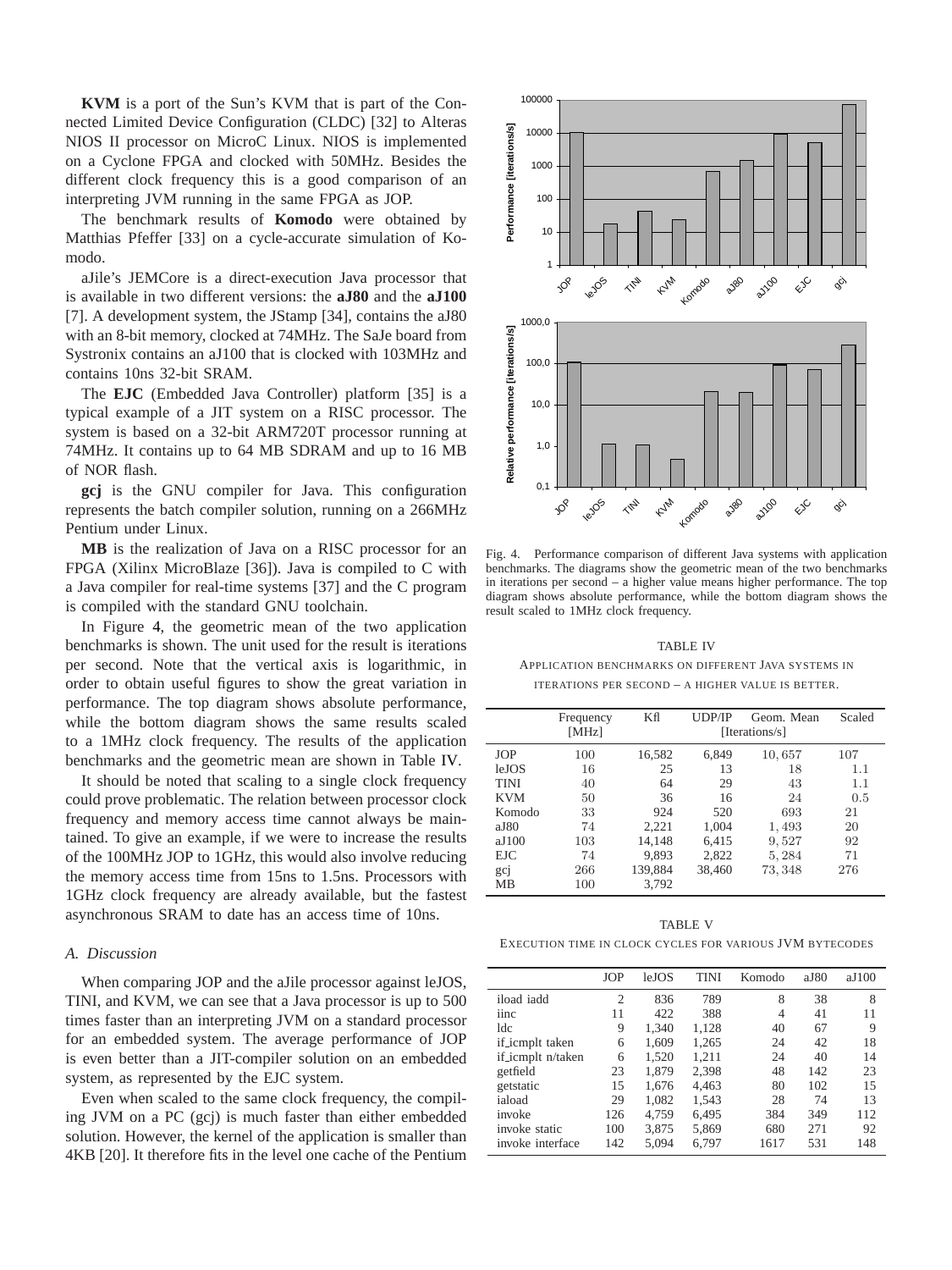**KVM** is a port of the Sun's KVM that is part of the Connected Limited Device Configuration (CLDC) [32] to Alteras NIOS II processor on MicroC Linux. NIOS is implemented on a Cyclone FPGA and clocked with 50MHz. Besides the different clock frequency this is a good comparison of an interpreting JVM running in the same FPGA as JOP.

The benchmark results of **Komodo** were obtained by Matthias Pfeffer [33] on a cycle-accurate simulation of Komodo.

aJile's JEMCore is a direct-execution Java processor that is available in two different versions: the **aJ80** and the **aJ100** [7]. A development system, the JStamp [34], contains the aJ80 with an 8-bit memory, clocked at 74MHz. The SaJe board from Systronix contains an aJ100 that is clocked with 103MHz and contains 10ns 32-bit SRAM.

The **EJC** (Embedded Java Controller) platform [35] is a typical example of a JIT system on a RISC processor. The system is based on a 32-bit ARM720T processor running at 74MHz. It contains up to 64 MB SDRAM and up to 16 MB of NOR flash.

**gcj** is the GNU compiler for Java. This configuration represents the batch compiler solution, running on a 266MHz Pentium under Linux.

**MB** is the realization of Java on a RISC processor for an FPGA (Xilinx MicroBlaze [36]). Java is compiled to C with a Java compiler for real-time systems [37] and the C program is compiled with the standard GNU toolchain.

In Figure [4,](#page-5-0) the geometric mean of the two application benchmarks is shown. The unit used for the result is iterations per second. Note that the vertical axis is logarithmic, in order to obtain useful figures to show the great variation in performance. The top diagram shows absolute performance, while the bottom diagram shows the same results scaled to a 1MHz clock frequency. The results of the application benchmarks and the geometric mean are shown in Table [IV.](#page-5-1)

It should be noted that scaling to a single clock frequency could prove problematic. The relation between processor clock frequency and memory access time cannot always be maintained. To give an example, if we were to increase the results of the 100MHz JOP to 1GHz, this would also involve reducing the memory access time from 15ns to 1.5ns. Processors with 1GHz clock frequency are already available, but the fastest asynchronous SRAM to date has an access time of 10ns.

## *A. Discussion*

When comparing JOP and the aJile processor against leJOS, TINI, and KVM, we can see that a Java processor is up to 500 times faster than an interpreting JVM on a standard processor for an embedded system. The average performance of JOP is even better than a JIT-compiler solution on an embedded system, as represented by the EJC system.

Even when scaled to the same clock frequency, the compiling JVM on a PC (gcj) is much faster than either embedded solution. However, the kernel of the application is smaller than 4KB [20]. It therefore fits in the level one cache of the Pentium



<span id="page-5-0"></span>Fig. 4. Performance comparison of different Java systems with application benchmarks. The diagrams show the geometric mean of the two benchmarks in iterations per second – a higher value means higher performance. The top diagram shows absolute performance, while the bottom diagram shows the result scaled to 1MHz clock frequency.

#### TABLE IV

# APPLICATION BENCHMARKS ON DIFFERENT JAVA SYSTEMS IN ITERATIONS PER SECOND – A HIGHER VALUE IS BETTER.

<span id="page-5-1"></span>

|             | Frequency<br>[MHz] | Κfl<br>Scaled<br>UDP/IP<br>Geom. Mean<br>[Iterations/s] |        |         |     |
|-------------|--------------------|---------------------------------------------------------|--------|---------|-----|
| <b>JOP</b>  | 100                | 16,582                                                  | 6,849  | 10,657  | 107 |
| leJOS       | 16                 | 25                                                      | 13     | 18      | 1.1 |
| <b>TINI</b> | 40                 | 64                                                      | 29     | 43      | 1.1 |
| <b>KVM</b>  | 50                 | 36                                                      | 16     | 24      | 0.5 |
| Komodo      | 33                 | 924                                                     | 520    | 693     | 21  |
| aJ80        | 74                 | 2.221                                                   | 1,004  | 1,493   | 20  |
| aJ100       | 103                | 14.148                                                  | 6.415  | 9,527   | 92  |
| <b>EJC</b>  | 74                 | 9.893                                                   | 2,822  | 5,284   | 71  |
| gcj         | 266                | 139,884                                                 | 38,460 | 73, 348 | 276 |
| MВ          | 100                | 3,792                                                   |        |         |     |

TABLE V

EXECUTION TIME IN CLOCK CYCLES FOR VARIOUS JVM BYTECODES

<span id="page-5-2"></span>

|                   | <b>JOP</b>     | leJOS | <b>TINI</b> | Komodo | aJ80 | aJ100 |
|-------------------|----------------|-------|-------------|--------|------|-------|
| iload iadd        | $\overline{c}$ | 836   | 789         | 8      | 38   | 8     |
| iinc              | 11             | 422   | 388         | 4      | 41   | 11    |
| 1dc               | 9              | 1.340 | 1.128       | 40     | 67   | 9     |
| if_icmplt taken   | 6              | 1.609 | 1,265       | 24     | 42   | 18    |
| if_icmplt n/taken | 6              | 1.520 | 1.211       | 24     | 40   | 14    |
| getfield          | 23             | 1.879 | 2,398       | 48     | 142  | 23    |
| getstatic         | 15             | 1.676 | 4.463       | 80     | 102  | 15    |
| iaload            | 29             | 1.082 | 1,543       | 28     | 74   | 13    |
| invoke            | 126            | 4.759 | 6.495       | 384    | 349  | 112   |
| invoke static     | 100            | 3,875 | 5,869       | 680    | 271  | 92    |
| invoke interface  | 142            | 5,094 | 6,797       | 1617   | 531  | 148   |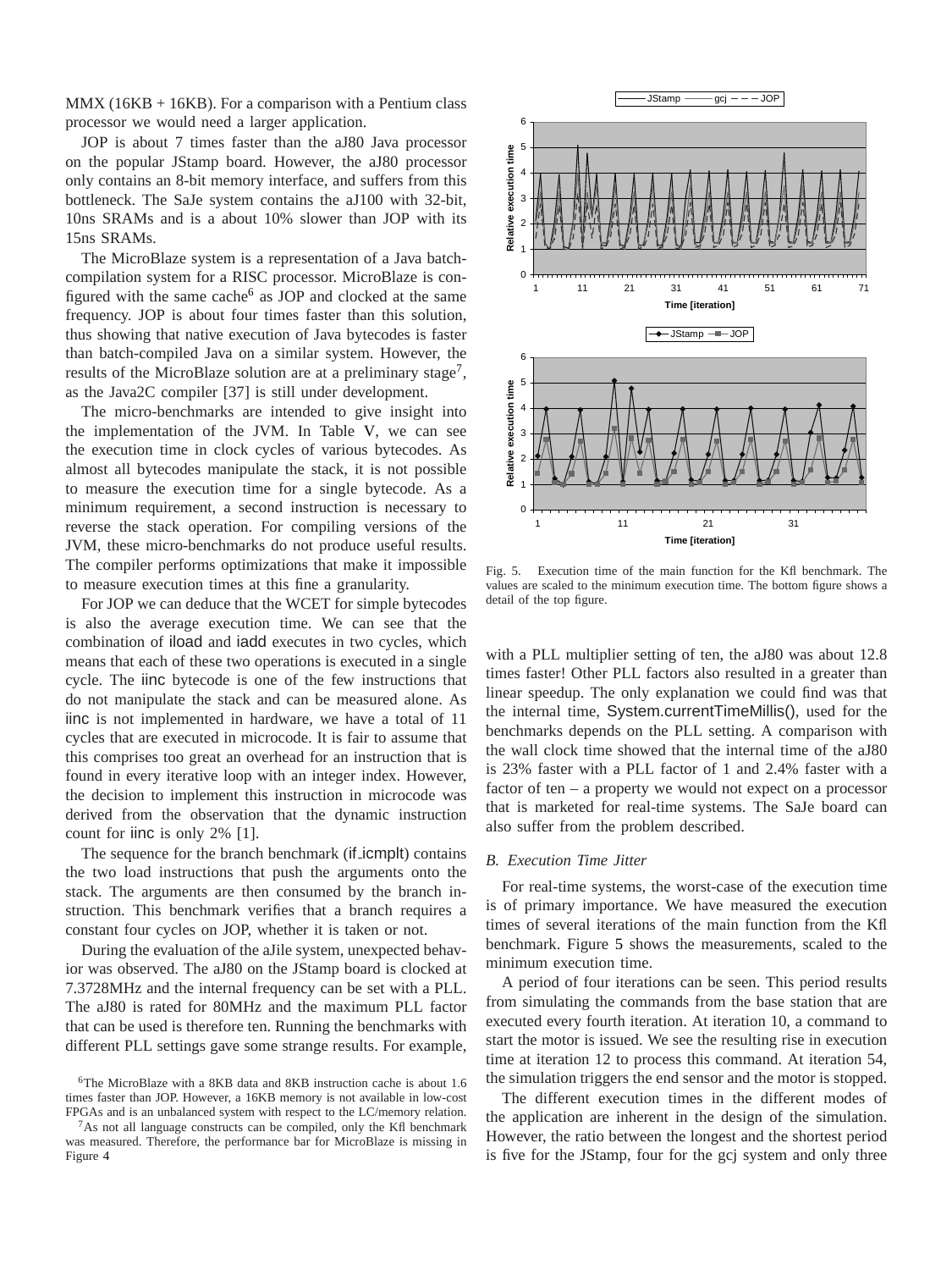$MMX (16KB + 16KB)$ . For a comparison with a Pentium class processor we would need a larger application.

JOP is about 7 times faster than the aJ80 Java processor on the popular JStamp board. However, the aJ80 processor only contains an 8-bit memory interface, and suffers from this bottleneck. The SaJe system contains the aJ100 with 32-bit, 10ns SRAMs and is a about 10% slower than JOP with its 15ns SRAMs.

The MicroBlaze system is a representation of a Java batchcompilation system for a RISC processor. MicroBlaze is con-figured with the same cache<sup>[6](#page-6-0)</sup> as JOP and clocked at the same frequency. JOP is about four times faster than this solution, thus showing that native execution of Java bytecodes is faster than batch-compiled Java on a similar system. However, the results of the MicroBlaze solution are at a preliminary stage<sup>[7](#page-6-1)</sup>, as the Java2C compiler [37] is still under development.

The micro-benchmarks are intended to give insight into the implementation of the JVM. In Table [V,](#page-5-2) we can see the execution time in clock cycles of various bytecodes. As almost all bytecodes manipulate the stack, it is not possible to measure the execution time for a single bytecode. As a minimum requirement, a second instruction is necessary to reverse the stack operation. For compiling versions of the JVM, these micro-benchmarks do not produce useful results. The compiler performs optimizations that make it impossible to measure execution times at this fine a granularity.

For JOP we can deduce that the WCET for simple bytecodes is also the average execution time. We can see that the combination of iload and iadd executes in two cycles, which means that each of these two operations is executed in a single cycle. The iinc bytecode is one of the few instructions that do not manipulate the stack and can be measured alone. As iinc is not implemented in hardware, we have a total of 11 cycles that are executed in microcode. It is fair to assume that this comprises too great an overhead for an instruction that is found in every iterative loop with an integer index. However, the decision to implement this instruction in microcode was derived from the observation that the dynamic instruction count for line is only 2% [1].

The sequence for the branch benchmark (if icmplt) contains the two load instructions that push the arguments onto the stack. The arguments are then consumed by the branch instruction. This benchmark verifies that a branch requires a constant four cycles on JOP, whether it is taken or not.

During the evaluation of the aJile system, unexpected behavior was observed. The aJ80 on the JStamp board is clocked at 7.3728MHz and the internal frequency can be set with a PLL. The aJ80 is rated for 80MHz and the maximum PLL factor that can be used is therefore ten. Running the benchmarks with different PLL settings gave some strange results. For example,



<span id="page-6-2"></span>Fig. 5. Execution time of the main function for the Kfl benchmark. The values are scaled to the minimum execution time. The bottom figure shows a detail of the top figure.

with a PLL multiplier setting of ten, the aJ80 was about 12.8 times faster! Other PLL factors also resulted in a greater than linear speedup. The only explanation we could find was that the internal time, System.currentTimeMillis(), used for the benchmarks depends on the PLL setting. A comparison with the wall clock time showed that the internal time of the aJ80 is 23% faster with a PLL factor of 1 and 2.4% faster with a factor of ten – a property we would not expect on a processor that is marketed for real-time systems. The SaJe board can also suffer from the problem described.

## *B. Execution Time Jitter*

For real-time systems, the worst-case of the execution time is of primary importance. We have measured the execution times of several iterations of the main function from the Kfl benchmark. Figure [5](#page-6-2) shows the measurements, scaled to the minimum execution time.

A period of four iterations can be seen. This period results from simulating the commands from the base station that are executed every fourth iteration. At iteration 10, a command to start the motor is issued. We see the resulting rise in execution time at iteration 12 to process this command. At iteration 54, the simulation triggers the end sensor and the motor is stopped.

The different execution times in the different modes of the application are inherent in the design of the simulation. However, the ratio between the longest and the shortest period is five for the JStamp, four for the gcj system and only three

<span id="page-6-0"></span><sup>&</sup>lt;sup>6</sup>The MicroBlaze with a 8KB data and 8KB instruction cache is about 1.6 times faster than JOP. However, a 16KB memory is not available in low-cost FPGAs and is an unbalanced system with respect to the LC/memory relation.

<span id="page-6-1"></span> $7As$  not all language constructs can be compiled, only the Kfl benchmark was measured. Therefore, the performance bar for MicroBlaze is missing in Figure [4](#page-5-0)